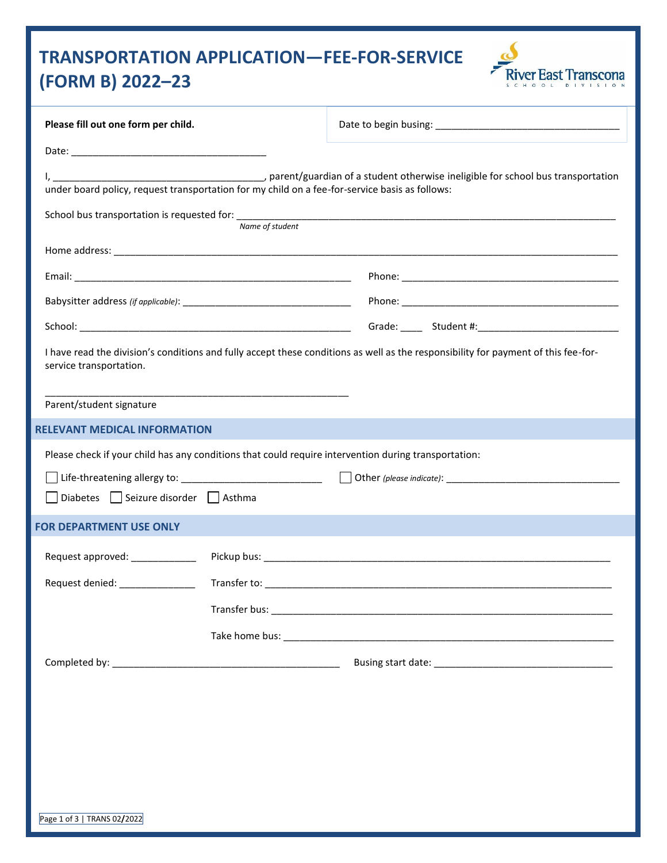# **TRANSPORTATION APPLICATION—FEE-FOR-SERVICE (FORM B) 2022–23**



| Please fill out one form per child.                                                                                                                           |                 |  |  |
|---------------------------------------------------------------------------------------------------------------------------------------------------------------|-----------------|--|--|
|                                                                                                                                                               |                 |  |  |
| under board policy, request transportation for my child on a fee-for-service basis as follows:                                                                |                 |  |  |
|                                                                                                                                                               | Name of student |  |  |
|                                                                                                                                                               |                 |  |  |
|                                                                                                                                                               |                 |  |  |
|                                                                                                                                                               |                 |  |  |
|                                                                                                                                                               |                 |  |  |
| I have read the division's conditions and fully accept these conditions as well as the responsibility for payment of this fee-for-<br>service transportation. |                 |  |  |
| Parent/student signature                                                                                                                                      |                 |  |  |
| RELEVANT MEDICAL INFORMATION                                                                                                                                  |                 |  |  |
| Please check if your child has any conditions that could require intervention during transportation:                                                          |                 |  |  |
|                                                                                                                                                               |                 |  |  |
| Diabetes Seizure disorder Asthma                                                                                                                              |                 |  |  |
| <b>FOR DEPARTMENT USE ONLY</b>                                                                                                                                |                 |  |  |
| Request approved: _____________                                                                                                                               |                 |  |  |
| Request denied: ________________                                                                                                                              |                 |  |  |
|                                                                                                                                                               |                 |  |  |
|                                                                                                                                                               |                 |  |  |
|                                                                                                                                                               |                 |  |  |
|                                                                                                                                                               |                 |  |  |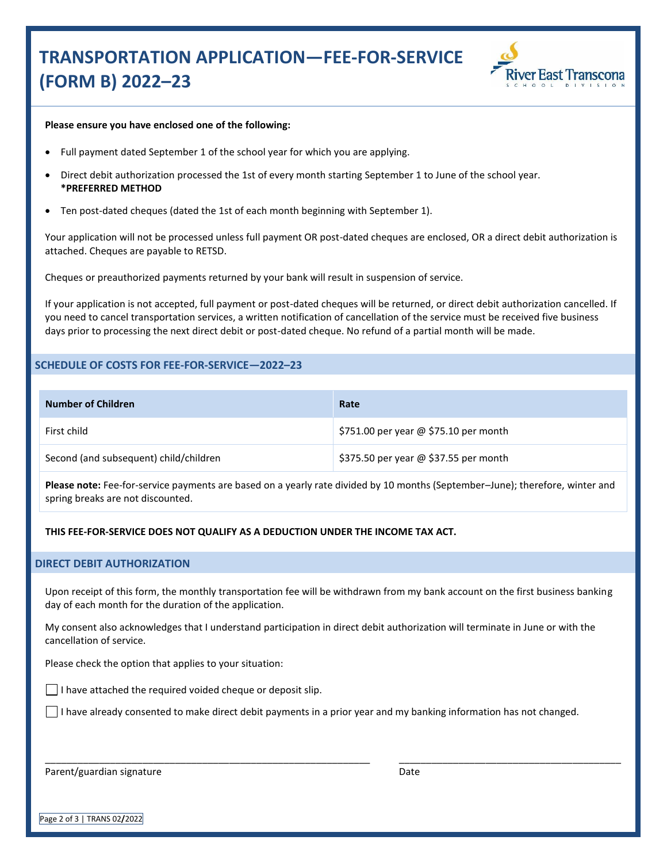## **TRANSPORTATION APPLICATION—FEE-FOR-SERVICE (FORM B) 2022–23**



#### **Please ensure you have enclosed one of the following:**

- Full payment dated September 1 of the school year for which you are applying.
- Direct debit authorization processed the 1st of every month starting September 1 to June of the school year. **\*PREFERRED METHOD**
- Ten post-dated cheques (dated the 1st of each month beginning with September 1).

Your application will not be processed unless full payment OR post-dated cheques are enclosed, OR a direct debit authorization is attached. Cheques are payable to RETSD.

Cheques or preauthorized payments returned by your bank will result in suspension of service.

If your application is not accepted, full payment or post-dated cheques will be returned, or direct debit authorization cancelled. If you need to cancel transportation services, a written notification of cancellation of the service must be received five business days prior to processing the next direct debit or post-dated cheque. No refund of a partial month will be made.

### **SCHEDULE OF COSTS FOR FEE-FOR-SERVICE—2022–23**

| Number of Children                     | Rate                                  |
|----------------------------------------|---------------------------------------|
| First child                            | \$751.00 per year @ \$75.10 per month |
| Second (and subsequent) child/children | \$375.50 per year @ \$37.55 per month |

**Please note:** Fee-for-service payments are based on a yearly rate divided by 10 months (September–June); therefore, winter and spring breaks are not discounted.

**THIS FEE-FOR-SERVICE DOES NOT QUALIFY AS A DEDUCTION UNDER THE INCOME TAX ACT.**

#### **DIRECT DEBIT AUTHORIZATION**

Upon receipt of this form, the monthly transportation fee will be withdrawn from my bank account on the first business banking day of each month for the duration of the application.

My consent also acknowledges that I understand participation in direct debit authorization will terminate in June or with the cancellation of service.

Please check the option that applies to your situation:

 $\vert \ \vert$  I have attached the required voided cheque or deposit slip.

\_\_\_\_\_\_\_\_\_\_\_\_\_\_\_\_\_\_\_\_\_\_\_\_\_\_\_\_\_\_\_\_\_\_\_\_\_\_\_\_\_\_\_\_\_\_\_\_\_\_\_\_\_\_\_\_\_\_\_\_

 $\Box$  I have already consented to make direct debit payments in a prior year and my banking information has not changed.

Parent/guardian signature

Date

\_\_\_\_\_\_\_\_\_\_\_\_\_\_\_\_\_\_\_\_\_\_\_\_\_\_\_\_\_\_\_\_\_\_\_\_\_\_\_\_\_